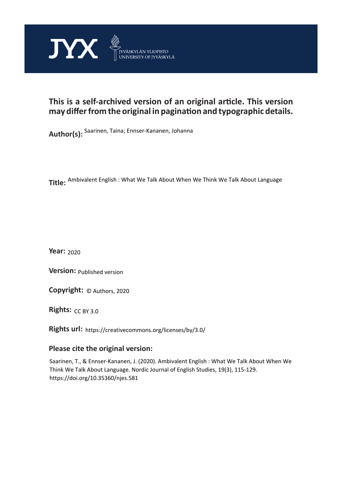

# **This is a self-archived version of an original article. This version may differ from the original in pagination and typographic details.**

**Author(s):**  Saarinen, Taina; Ennser-Kananen, Johanna

**Title:**  Ambivalent English : What We Talk About When We Think We Talk About Language

**Year:**  2020

**Version:**

**Version:** Published version<br>**Copyright:** © Authors, 2020

**Rights:** CC BY 3.0

**Rights url:**  https://creativecommons.org/licenses/by/3.0/

### **Please cite the original version:**

Saarinen, T., & Ennser-Kananen, J. (2020). Ambivalent English : What We Talk About When We Think We Talk About Language. Nordic Journal of English Studies, 19(3), 115-129. https://doi.org/10.35360/njes.581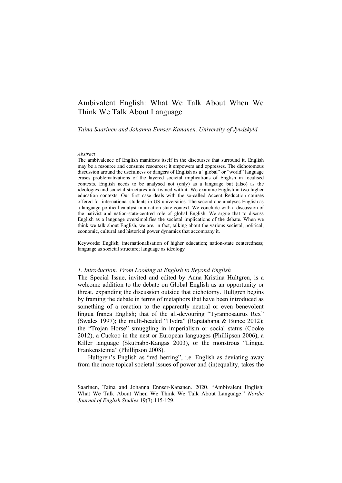## Ambivalent English: What We Talk About When We Think We Talk About Language

*Taina Saarinen and Johanna Ennser-Kananen, University of Jyväskylä*

#### *Abstract*

The ambivalence of English manifests itself in the discourses that surround it. English may be a resource and consume resources; it empowers and oppresses. The dichotomous discussion around the usefulness or dangers of English as a "global" or "world" language erases problematizations of the layered societal implications of English in localised contexts. English needs to be analysed not (only) as a language but (also) as the ideologies and societal structures intertwined with it. We examine English in two higher education contexts. Our first case deals with the so-called Accent Reduction courses offered for international students in US universities. The second one analyses English as a language political catalyst in a nation state context. We conclude with a discussion of the nativist and nation-state-centred role of global English. We argue that to discuss English as a language oversimplifies the societal implications of the debate. When we think we talk about English, we are, in fact, talking about the various societal, political, economic, cultural and historical power dynamics that accompany it.

Keywords: English; internationalisation of higher education; nation-state centeredness; language as societal structure; language as ideology

#### *1. Introduction: From Looking at English to Beyond English*

The Special Issue, invited and edited by Anna Kristina Hultgren, is a welcome addition to the debate on Global English as an opportunity or threat, expanding the discussion outside that dichotomy. Hultgren begins by framing the debate in terms of metaphors that have been introduced as something of a reaction to the apparently neutral or even benevolent lingua franca English; that of the all-devouring "Tyrannosaurus Rex" (Swales 1997); the multi-headed "Hydra" (Rapatahana & Bunce 2012); the "Trojan Horse" smuggling in imperialism or social status (Cooke 2012), a Cuckoo in the nest or European languages (Phillipson 2006), a Killer language (Skutnabb-Kangas 2003), or the monstrous "Lingua Frankensteinia" (Phillipson 2008).

Hultgren's English as "red herring", i.e. English as deviating away from the more topical societal issues of power and (in)equality, takes the

Saarinen, Taina and Johanna Ennser-Kananen. 2020. "Ambivalent English: What We Talk About When We Think We Talk About Language." *Nordic Journal of English Studies* 19(3):115-129.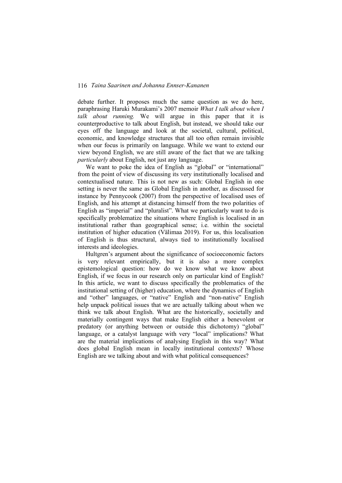debate further. It proposes much the same question as we do here, paraphrasing Haruki Murakami's 2007 memoir *What I talk about when I talk about running.* We will argue in this paper that it is counterproductive to talk about English, but instead, we should take our eyes off the language and look at the societal, cultural, political, economic, and knowledge structures that all too often remain invisible when our focus is primarily on language. While we want to extend our view beyond English, we are still aware of the fact that we are talking *particularly* about English, not just any language.

We want to poke the idea of English as "global" or "international" from the point of view of discussing its very institutionally localised and contextualised nature. This is not new as such: Global English in one setting is never the same as Global English in another, as discussed for instance by Pennycook (2007) from the perspective of localised uses of English, and his attempt at distancing himself from the two polarities of English as "imperial" and "pluralist". What we particularly want to do is specifically problematize the situations where English is localised in an institutional rather than geographical sense; i.e. within the societal institution of higher education (Välimaa 2019). For us, this localisation of English is thus structural, always tied to institutionally localised interests and ideologies.

Hultgren's argument about the significance of socioeconomic factors is very relevant empirically, but it is also a more complex epistemological question: how do we know what we know about English, if we focus in our research only on particular kind of English? In this article, we want to discuss specifically the problematics of the institutional setting of (higher) education, where the dynamics of English and "other" languages, or "native" English and "non-native" English help unpack political issues that we are actually talking about when we think we talk about English. What are the historically, societally and materially contingent ways that make English either a benevolent or predatory (or anything between or outside this dichotomy) "global" language, or a catalyst language with very "local" implications? What are the material implications of analysing English in this way? What does global English mean in locally institutional contexts? Whose English are we talking about and with what political consequences?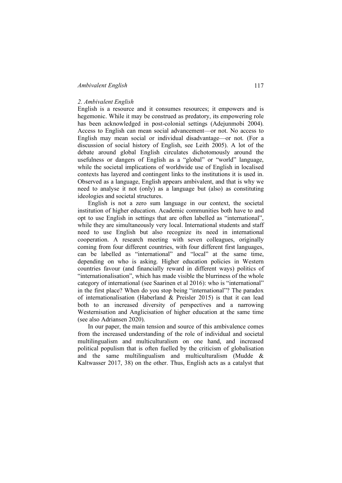### *Ambivalent English* 117

#### *2. Ambivalent English*

English is a resource and it consumes resources; it empowers and is hegemonic. While it may be construed as predatory, its empowering role has been acknowledged in post-colonial settings (Adejunmobi 2004). Access to English can mean social advancement—or not. No access to English may mean social or individual disadvantage—or not. (For a discussion of social history of English, see Leith 2005). A lot of the debate around global English circulates dichotomously around the usefulness or dangers of English as a "global" or "world" language, while the societal implications of worldwide use of English in localised contexts has layered and contingent links to the institutions it is used in. Observed as a language, English appears ambivalent, and that is why we need to analyse it not (only) as a language but (also) as constituting ideologies and societal structures.

English is not a zero sum language in our context, the societal institution of higher education. Academic communities both have to and opt to use English in settings that are often labelled as "international", while they are simultaneously very local. International students and staff need to use English but also recognize its need in international cooperation. A research meeting with seven colleagues, originally coming from four different countries, with four different first languages, can be labelled as "international" and "local" at the same time, depending on who is asking. Higher education policies in Western countries favour (and financially reward in different ways) politics of "internationalisation", which has made visible the blurriness of the whole category of international (see Saarinen et al 2016): who is "international" in the first place? When do you stop being "international"? The paradox of internationalisation (Haberland & Preisler 2015) is that it can lead both to an increased diversity of perspectives and a narrowing Westernisation and Anglicisation of higher education at the same time (see also Adriansen 2020).

In our paper, the main tension and source of this ambivalence comes from the increased understanding of the role of individual and societal multilingualism and multiculturalism on one hand, and increased political populism that is often fuelled by the criticism of globalisation and the same multilingualism and multiculturalism (Mudde  $\&$ Kaltwasser 2017, 38) on the other. Thus, English acts as a catalyst that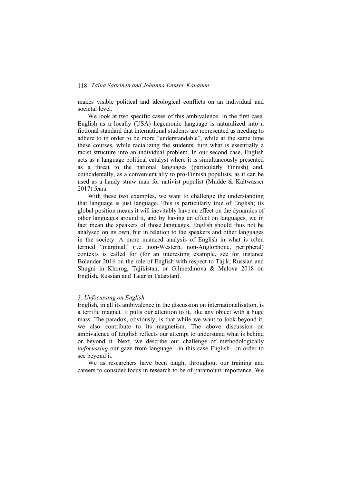makes visible political and ideological conflicts on an individual and societal level.

We look at two specific cases of this ambivalence. In the first case, English as a locally (USA) hegemonic language is naturalized into a fictional standard that international students are represented as needing to adhere to in order to be more "understandable", while at the same time these courses, while racializing the students, turn what is essentially a racist structure into an individual problem. In our second case, English acts as a language political catalyst where it is simultaneously presented as a threat to the national languages (particularly Finnish) and, coincidentally, as a convenient ally to pro-Finnish populists, as it can be used as a handy straw man for nativist populist (Mudde  $\&$  Kaltwasser 2017) fears.

With these two examples, we want to challenge the understanding that language is just language. This is particularly true of English; its global position means it will inevitably have an effect on the dynamics of other languages around it, and by having an effect on languages, we in fact mean the speakers of those languages. English should thus not be analysed on its own, but in relation to the speakers and other languages in the society. A more nuanced analysis of English in what is often termed "marginal" (i.e. non-Western, non-Anglophone, peripheral) contexts is called for (for an interesting example, see for instance Bolander 2016 on the role of English with respect to Tajik, Russian and Shugni in Khorog, Tajikistan, or Gilmetdinova & Malova 2018 on English, Russian and Tatar in Tatarstan).

#### *3. Unfocussing on English*

English, in all its ambivalence in the discussion on internationalisation, is a terrific magnet. It pulls our attention to it, like any object with a huge mass. The paradox, obviously, is that while we want to look beyond it, we also contribute to its magnetism. The above discussion on ambivalence of English reflects our attempt to understand what is behind or beyond it*.* Next, we describe our challenge of methodologically *unfocussing* our gaze from language—in this case English—in order to see beyond it.

We as researchers have been taught throughout our training and careers to consider focus in research to be of paramount importance. We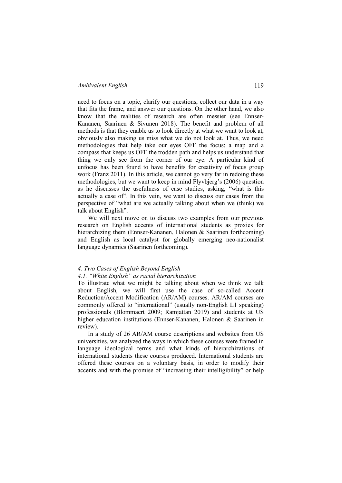#### *Ambivalent English* 119

need to focus on a topic, clarify our questions, collect our data in a way that fits the frame, and answer our questions. On the other hand, we also know that the realities of research are often messier (see Ennser-Kananen, Saarinen & Sivunen 2018). The benefit and problem of all methods is that they enable us to look directly at what we want to look at, obviously also making us miss what we do not look at. Thus, we need methodologies that help take our eyes OFF the focus; a map and a compass that keeps us OFF the trodden path and helps us understand that thing we only see from the corner of our eye. A particular kind of unfocus has been found to have benefits for creativity of focus group work (Franz 2011). In this article, we cannot go very far in redoing these methodologies, but we want to keep in mind Flyvbjerg's (2006) question as he discusses the usefulness of case studies, asking, "what is this actually a case of". In this vein, we want to discuss our cases from the perspective of "what are we actually talking about when we (think) we talk about English".

We will next move on to discuss two examples from our previous research on English accents of international students as proxies for hierarchizing them (Ennser-Kananen, Halonen & Saarinen forthcoming) and English as local catalyst for globally emerging neo-nationalist language dynamics (Saarinen forthcoming).

### *4. Two Cases of English Beyond English*

#### *4.1. "White English" as racial hierarchization*

To illustrate what we might be talking about when we think we talk about English, we will first use the case of so-called Accent Reduction/Accent Modification (AR/AM) courses. AR/AM courses are commonly offered to "international" (usually non-English L1 speaking) professionals (Blommaert 2009; Ramjattan 2019) and students at US higher education institutions (Ennser-Kananen, Halonen & Saarinen in review).

In a study of 26 AR/AM course descriptions and websites from US universities, we analyzed the ways in which these courses were framed in language ideological terms and what kinds of hierarchizations of international students these courses produced. International students are offered these courses on a voluntary basis, in order to modify their accents and with the promise of "increasing their intelligibility" or help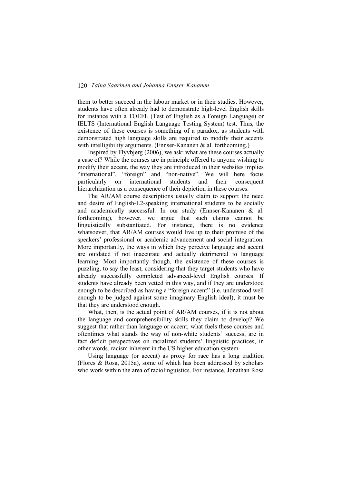them to better succeed in the labour market or in their studies. However, students have often already had to demonstrate high-level English skills for instance with a TOEFL (Test of English as a Foreign Language) or IELTS (International English Language Testing System) test. Thus, the existence of these courses is something of a paradox, as students with demonstrated high language skills are required to modify their accents with intelligibility arguments. (Ennser-Kananen & al. forthcoming.)

Inspired by Flyvbjerg (2006), we ask: what are these courses actually a case of? While the courses are in principle offered to anyone wishing to modify their accent, the way they are introduced in their websites implies "international", "foreign" and "non-native". We will here focus particularly on international students and their consequent hierarchization as a consequence of their depiction in these courses.

The AR/AM course descriptions usually claim to support the need and desire of English-L2-speaking international students to be socially and academically successful. In our study (Ennser-Kananen & al. forthcoming), however, we argue that such claims cannot be linguistically substantiated. For instance, there is no evidence whatsoever, that AR/AM courses would live up to their promise of the speakers' professional or academic advancement and social integration. More importantly, the ways in which they perceive language and accent are outdated if not inaccurate and actually detrimental to language learning. Most importantly though, the existence of these courses is puzzling, to say the least, considering that they target students who have already successfully completed advanced-level English courses. If students have already been vetted in this way, and if they are understood enough to be described as having a "foreign accent" (i.e. understood well enough to be judged against some imaginary English ideal), it must be that they are understood enough.

What, then, is the actual point of AR/AM courses, if it is not about the language and comprehensibility skills they claim to develop? We suggest that rather than language or accent, what fuels these courses and oftentimes what stands the way of non-white students' success, are in fact deficit perspectives on racialized students' linguistic practices, in other words, racism inherent in the US higher education system.

Using language (or accent) as proxy for race has a long tradition (Flores & Rosa, 2015a), some of which has been addressed by scholars who work within the area of raciolinguistics. For instance, Jonathan Rosa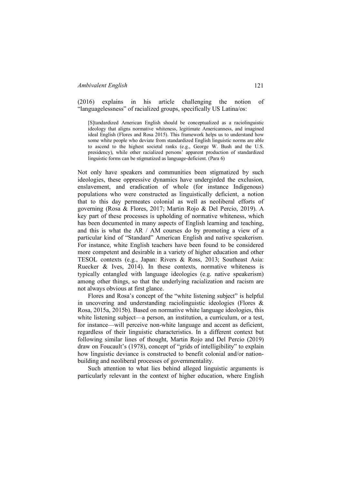(2016) explains in his article challenging the notion of "languagelessness" of racialized groups, specifically US Latina/os:

[S]tandardized American English should be conceptualized as a raciolinguistic ideology that aligns normative whiteness, legitimate Americanness, and imagined ideal English (Flores and Rosa 2015). This framework helps us to understand how some white people who deviate from standardized English linguistic norms are able to ascend to the highest societal ranks (e.g., George W. Bush and the U.S. presidency), while other racialized persons' apparent production of standardized linguistic forms can be stigmatized as language-deficient. (Para 6)

Not only have speakers and communities been stigmatized by such ideologies, these oppressive dynamics have undergirded the exclusion, enslavement, and eradication of whole (for instance Indigenous) populations who were constructed as linguistically deficient, a notion that to this day permeates colonial as well as neoliberal efforts of governing (Rosa & Flores, 2017; Martin Rojo & Del Percio, 2019). A key part of these processes is upholding of normative whiteness, which has been documented in many aspects of English learning and teaching, and this is what the AR / AM courses do by promoting a view of a particular kind of "Standard" American English and native speakerism. For instance, white English teachers have been found to be considered more competent and desirable in a variety of higher education and other TESOL contexts (e.g., Japan: Rivers & Ross, 2013; Southeast Asia: Ruecker & Ives, 2014). In these contexts, normative whiteness is typically entangled with language ideologies (e.g. native speakerism) among other things, so that the underlying racialization and racism are not always obvious at first glance.

Flores and Rosa's concept of the "white listening subject" is helpful in uncovering and understanding raciolinguistic ideologies (Flores & Rosa, 2015a, 2015b). Based on normative white language ideologies, this white listening subject—a person, an institution, a curriculum, or a test, for instance—will perceive non-white language and accent as deficient, regardless of their linguistic characteristics. In a different context but following similar lines of thought, Martin Rojo and Del Percio (2019) draw on Foucault's (1978), concept of "grids of intelligibility" to explain how linguistic deviance is constructed to benefit colonial and/or nationbuilding and neoliberal processes of governmentality.

Such attention to what lies behind alleged linguistic arguments is particularly relevant in the context of higher education, where English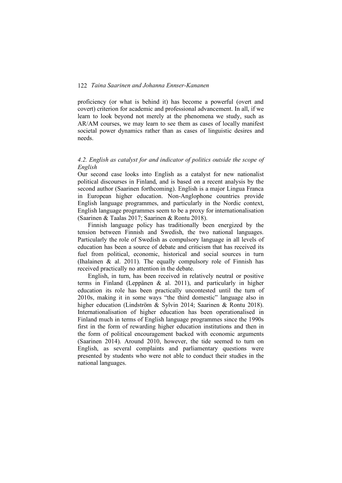proficiency (or what is behind it) has become a powerful (overt and covert) criterion for academic and professional advancement. In all, if we learn to look beyond not merely at the phenomena we study, such as AR/AM courses, we may learn to see them as cases of locally manifest societal power dynamics rather than as cases of linguistic desires and needs.

### *4.2. English as catalyst for and indicator of politics outside the scope of English*

Our second case looks into English as a catalyst for new nationalist political discourses in Finland, and is based on a recent analysis by the second author (Saarinen forthcoming). English is a major Lingua Franca in European higher education. Non-Anglophone countries provide English language programmes, and particularly in the Nordic context, English language programmes seem to be a proxy for internationalisation (Saarinen & Taalas 2017; Saarinen & Rontu 2018).

Finnish language policy has traditionally been energized by the tension between Finnish and Swedish, the two national languages. Particularly the role of Swedish as compulsory language in all levels of education has been a source of debate and criticism that has received its fuel from political, economic, historical and social sources in turn (Ihalainen  $\&$  al. 2011). The equally compulsory role of Finnish has received practically no attention in the debate.

English, in turn, has been received in relatively neutral or positive terms in Finland (Leppänen & al. 2011), and particularly in higher education its role has been practically uncontested until the turn of 2010s, making it in some ways "the third domestic" language also in higher education (Lindström & Sylvin 2014; Saarinen & Rontu 2018). Internationalisation of higher education has been operationalised in Finland much in terms of English language programmes since the 1990s first in the form of rewarding higher education institutions and then in the form of political encouragement backed with economic arguments (Saarinen 2014). Around 2010, however, the tide seemed to turn on English, as several complaints and parliamentary questions were presented by students who were not able to conduct their studies in the national languages.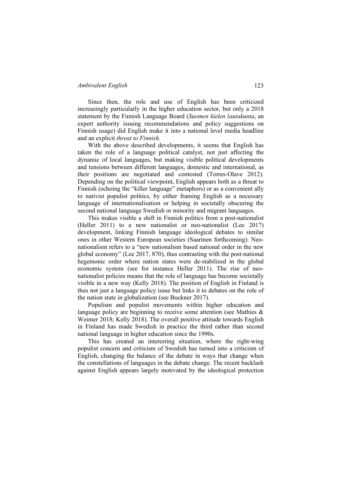#### *Ambivalent English* 123

Since then, the role and use of English has been criticized increasingly particularly in the higher education sector, but only a 2018 statement by the Finnish Language Board (*Suomen kielen lautakunta*, an expert authority issuing recommendations and policy suggestions on Finnish usage) did English make it into a national level media headline and an explicit *threat to Finnish.*

With the above described developments, it seems that English has taken the role of a language political catalyst, not just affecting the dynamic of local languages, but making visible political developments and tensions between different languages, domestic and international, as their positions are negotiated and contested (Torres-Olave 2012). Depending on the political viewpoint, English appears both as a threat to Finnish (echoing the "killer language" metaphors) or as a convenient ally to nativist populist politics, by either framing English as a necessary language of internationalisation or helping in societally obscuring the second national language Swedish or minority and migrant languages.

This makes visible a shift in Finnish politics from a post-nationalist (Heller 2011) to a new nationalist or neo-nationalist (Lee 2017) development, linking Finnish language ideological debates to similar ones in other Western European societies (Saarinen forthcoming). Neonationalism refers to a "new nationalism based national order in the new global economy" (Lee 2017, 870), thus contrasting with the post-national hegemonic order where nation states were de-stabilized in the global economic system (see for instance Heller 2011). The rise of neonationalist policies means that the role of language has become societally visible in a new way (Kelly 2018). The position of English in Finland is thus not just a language policy issue but links it to debates on the role of the nation state in globalization (see Buckner 2017).

Populism and populist movements within higher education and language policy are beginning to receive some attention (see Mathies & Weimer 2018; Kelly 2018). The overall positive attitude towards English in Finland has made Swedish in practice the third rather than second national language in higher education since the 1990s.

This has created an interesting situation, where the right-wing populist concern and criticism of Swedish has turned into a criticism of English, changing the balance of the debate in ways that change when the constellations of languages in the debate change. The recent backlash against English appears largely motivated by the ideological protection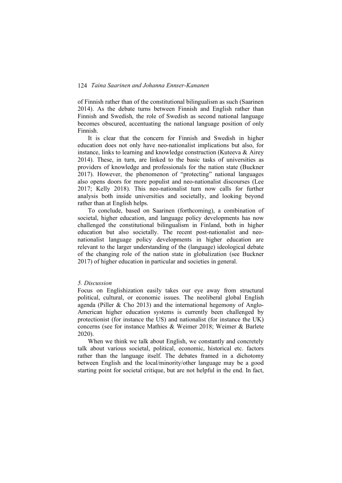of Finnish rather than of the constitutional bilingualism as such (Saarinen 2014). As the debate turns between Finnish and English rather than Finnish and Swedish, the role of Swedish as second national language becomes obscured, accentuating the national language position of only Finnish.

It is clear that the concern for Finnish and Swedish in higher education does not only have neo-nationalist implications but also, for instance, links to learning and knowledge construction (Kuteeva & Airey 2014). These, in turn, are linked to the basic tasks of universities as providers of knowledge and professionals for the nation state (Buckner 2017). However, the phenomenon of "protecting" national languages also opens doors for more populist and neo-nationalist discourses (Lee 2017; Kelly 2018). This neo-nationalist turn now calls for further analysis both inside universities and societally, and looking beyond rather than at English helps.

To conclude, based on Saarinen (forthcoming), a combination of societal, higher education, and language policy developments has now challenged the constitutional bilingualism in Finland, both in higher education but also societally. The recent post-nationalist and neonationalist language policy developments in higher education are relevant to the larger understanding of the (language) ideological debate of the changing role of the nation state in globalization (see Buckner 2017) of higher education in particular and societies in general.

### *5. Discussion*

Focus on Englishization easily takes our eye away from structural political, cultural, or economic issues. The neoliberal global English agenda (Piller & Cho 2013) and the international hegemony of Anglo-American higher education systems is currently been challenged by protectionist (for instance the US) and nationalist (for instance the UK) concerns (see for instance Mathies & Weimer 2018; Weimer & Barlete 2020).

When we think we talk about English, we constantly and concretely talk about various societal, political, economic, historical etc. factors rather than the language itself. The debates framed in a dichotomy between English and the local/minority/other language may be a good starting point for societal critique, but are not helpful in the end. In fact,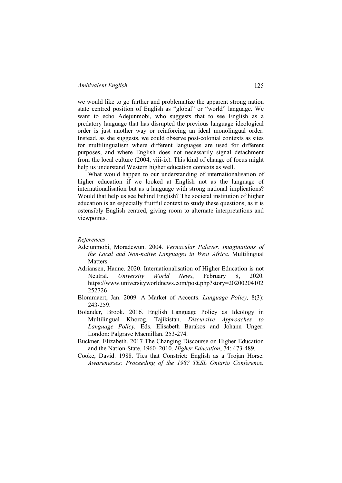we would like to go further and problematize the apparent strong nation state centred position of English as "global" or "world" language. We want to echo Adejunmobi, who suggests that to see English as a predatory language that has disrupted the previous language ideological order is just another way or reinforcing an ideal monolingual order. Instead, as she suggests, we could observe post-colonial contexts as sites for multilingualism where different languages are used for different purposes, and where English does not necessarily signal detachment from the local culture (2004, viii-ix). This kind of change of focus might help us understand Western higher education contexts as well.

What would happen to our understanding of internationalisation of higher education if we looked at English not as the language of internationalisation but as a language with strong national implications? Would that help us see behind English? The societal institution of higher education is an especially fruitful context to study these questions, as it is ostensibly English centred, giving room to alternate interpretations and viewpoints.

#### *References*

- Adejunmobi, Moradewun. 2004. *Vernacular Palaver. Imaginations of the Local and Non-native Languages in West Africa*. Multilingual **Matters**
- Adriansen, Hanne. 2020. Internationalisation of Higher Education is not Neutral. *University World News*, February 8, 2020. https://www.universityworldnews.com/post.php?story=20200204102 252726
- Blommaert, Jan. 2009. A Market of Accents. *Language Policy,* 8(3): 243-259.
- Bolander, Brook. 2016. English Language Policy as Ideology in Multilingual Khorog, Tajikistan. *Discursive Approaches to Language Policy.* Eds. Elisabeth Barakos and Johann Unger. London: Palgrave Macmillan. 253-274.
- Buckner, Elizabeth. 2017 The Changing Discourse on Higher Education and the Nation-State, 1960–2010. *Higher Education*, 74: 473-489.
- Cooke, David. 1988. Ties that Constrict: English as a Trojan Horse. *Awarenesses: Proceeding of the 1987 TESL Ontario Conference.*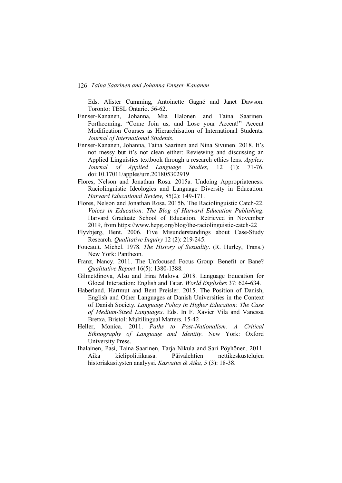Eds. Alister Cumming, Antoinette Gagné and Janet Dawson. Toronto: TESL Ontario. 56-62.

- Ennser-Kananen, Johanna, Mia Halonen and Taina Saarinen. Forthcoming. "Come Join us, and Lose your Accent!" Accent Modification Courses as Hierarchisation of International Students. *Journal of International Students*.
- Ennser-Kananen, Johanna, Taina Saarinen and Nina Sivunen. 2018. It's not messy but it's not clean either: Reviewing and discussing an Applied Linguistics textbook through a research ethics lens. *Apples: Journal of Applied Language Studies,* 12 (1): 71-76. doi:10.17011/apples/urn.201805302919
- Flores, Nelson and Jonathan Rosa. 2015a. Undoing Appropriateness: Raciolinguistic Ideologies and Language Diversity in Education. *Harvard Educational Review,* 85(2): 149-171.
- Flores, Nelson and Jonathan Rosa. 2015b. The Raciolinguistic Catch-22. *Voices in Education: The Blog of Harvard Education Publishing*. Harvard Graduate School of Education. Retrieved in November 2019, from https://www.hepg.org/blog/the-raciolinguistic-catch-22
- Flyvbjerg, Bent. 2006. Five Misunderstandings about Case-Study Research. *Qualitative Inquiry* 12 (2): 219-245.
- Foucault. Michel. 1978. *The History of Sexuality*. (R. Hurley, Trans.) New York: Pantheon.
- Franz, Nancy. 2011. The Unfocused Focus Group: Benefit or Bane? *Qualitative Report* 16(5): 1380-1388.
- Gilmetdinova, Alsu and Irina Malova. 2018. Language Education for Glocal Interaction: English and Tatar. *World Englishes* 37: 624-634.
- Haberland, Hartmut and Bent Preisler. 2015. The Position of Danish, English and Other Languages at Danish Universities in the Context of Danish Society. *Language Policy in Higher Education: The Case of Medium-Sized Languages*. Eds. In F. Xavier Vila and Vanessa Bretxa. Bristol: Multilingual Matters. 15-42
- Heller, Monica. 2011. *Paths to Post-Nationalism. A Critical Ethnography of Language and Identity*. New York: Oxford University Press.
- Ihalainen, Pasi, Taina Saarinen, Tarja Nikula and Sari Pöyhönen. 2011. Aika kielipolitiikassa. Päivälehtien nettikeskustelujen historiakäsitysten analyysi. *Kasvatus & Aika,* 5 (3): 18-38.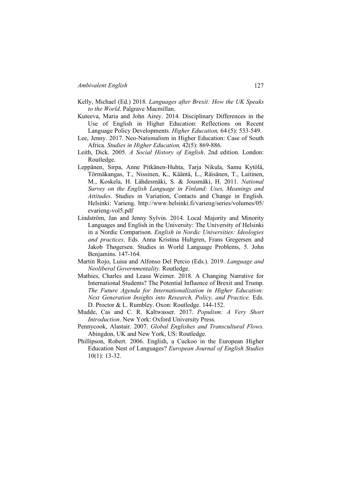- Kelly, Michael (Ed.) 2018. *Languages after Brexit: How the UK Speaks to the World*. Palgrave Macmillan.
- Kuteeva, Maria and John Airey. 2014. Disciplinary Differences in the Use of English in Higher Education: Reflections on Recent Language Policy Developments. *Higher Education,* 64 (5): 533-549.
- Lee, Jenny. 2017. Neo-Nationalism in Higher Education: Case of South Africa. *Studies in Higher Education,* 42(5): 869-886.
- Leith, Dick. 2005. *A Social History of English*. 2nd edition. London: Routledge.
- Leppänen, Sirpa, Anne Pitkänen-Huhta, Tarja Nikula, Samu Kytölä, Törmäkangas, T., Nissinen, K., Kääntä, L., Räisänen, T., Laitinen, M., Koskela, H. Lähdesmäki, S. & Jousmäki, H. 2011. *National Survey on the English Language in Finland: Uses, Meanings and Attitudes*. Studies in Variation, Contacts and Change in English. Helsinki: Varieng. http://www.helsinki.fi/varieng/series/volumes/05/ evarieng-vol5.pdf
- Lindström, Jan and Jenny Sylvin. 2014. Local Majority and Minority Languages and English in the University: The University of Helsinki in a Nordic Comparison. *English in Nordic Universities: Ideologies and practices*. Eds. Anna Kristina Hultgren, Frans Gregersen and Jakob Thøgersen. Studies in World Language Problems, 5. John Benjamins. 147-164.
- Martin Rojo, Luisa and Alfonso Del Percio (Eds.). 2019. *Language and Neoliberal Governmentality.* Routledge.
- Mathies, Charles and Leasa Weimer. 2018. A Changing Narrative for International Students? The Potential Influence of Brexit and Trump. *The Future Agenda for Internationalization in Higher Education: Next Generation Insights into Research, Policy, and Practice. Eds.* D. Proctor & L. Rumbley. Oxon: Routledge. 144-152.
- Mudde, Cas and C. R. Kaltwasser. 2017. *Populism: A Very Short Introduction*. New York: Oxford University Press.
- Pennycook, Alastair. 2007. *Global Englishes and Transcultural Flows.* Abingdon, UK and New York, US: Routledge.
- Phillipson, Robert. 2006. English, a Cuckoo in the European Higher Education Nest of Languages? *European Journal of English Studies* 10(1): 13-32.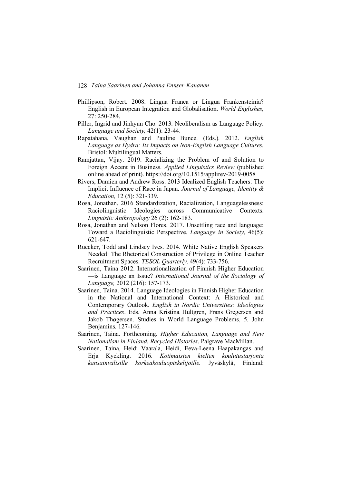- Phillipson, Robert. 2008. Lingua Franca or Lingua Frankensteinia? English in European Integration and Globalisation. *World Englishes,* 27: 250-284.
- Piller, Ingrid and Jinhyun Cho. 2013. Neoliberalism as Language Policy. *Language and Society,* 42(1): 23-44.
- Rapatahana, Vaughan and Pauline Bunce. (Eds.). 2012. *English Language as Hydra: Its Impacts on Non-English Language Cultures.* Bristol: Multilingual Matters.
- Ramjattan, Vijay. 2019. Racializing the Problem of and Solution to Foreign Accent in Business. *Applied Linguistics Review* (published online ahead of print). https://doi.org/10.1515/applirev-2019-0058
- Rivers, Damien and Andrew Ross. 2013 Idealized English Teachers: The Implicit Influence of Race in Japan. *Journal of Language, Identity & Education,* 12 (5): 321-339.
- Rosa, Jonathan. 2016 Standardization, Racialization, Languagelessness: Raciolinguistic Ideologies across Communicative Contexts. *Linguistic Anthropology* 26 (2): 162-183.
- Rosa, Jonathan and Nelson Flores. 2017. Unsettling race and language: Toward a Raciolinguistic Perspective. *Language in Society,* 46(5): 621-647.
- Ruecker, Todd and Lindsey Ives. 2014. White Native English Speakers Needed: The Rhetorical Construction of Privilege in Online Teacher Recruitment Spaces. *TESOL Quarterly,* 49(4): 733-756.
- Saarinen, Taina 2012. Internationalization of Finnish Higher Education —is Language an Issue? *International Journal of the Sociology of Language,* 2012 (216): 157-173.
- Saarinen, Taina. 2014. Language Ideologies in Finnish Higher Education in the National and International Context: A Historical and Contemporary Outlook. *English in Nordic Universities: Ideologies and Practices*. Eds. Anna Kristina Hultgren, Frans Gregersen and Jakob Thøgersen. Studies in World Language Problems, 5. John Benjamins. 127-146.
- Saarinen, Taina. Forthcoming. *Higher Education, Language and New Nationalism in Finland. Recycled Histories*. Palgrave MacMillan.
- Saarinen, Taina, Heidi Vaarala, Heidi, Eeva-Leena Haapakangas and Erja Kyckling. 2016. *Kotimaisten kielten koulutustarjonta kansainvälisille korkeakouluopiskelijoille.* Jyväskylä, Finland: